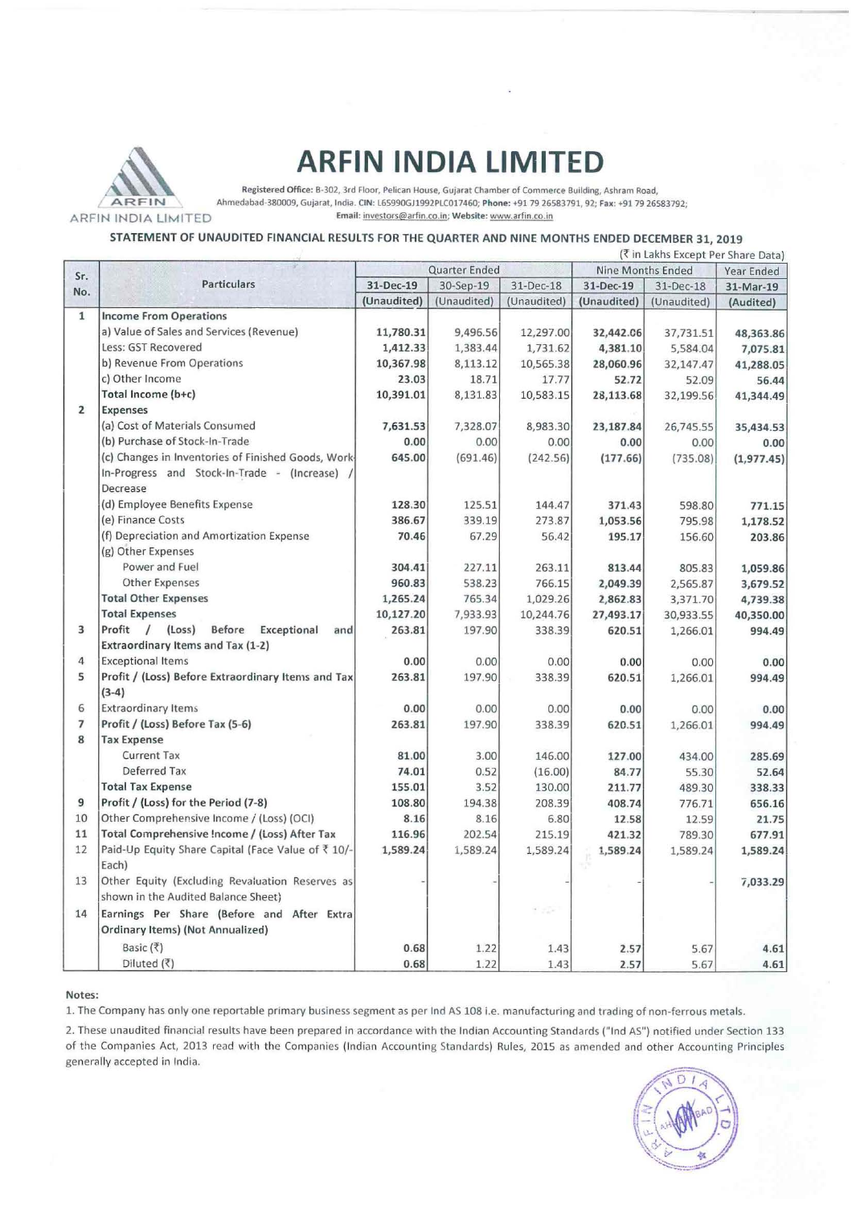

# **ARFIN INDIA LIMITED**

Registered Office: 8·302, 3rd Floor. Pelican House, Gujarat Chamber of Commerce Building, Ashram Road, AR FIN Ahmedabad-380009, Gujarat, India. CIN: L65990GJ1992PLC017460; Phone: +91 79 26583791, 92; Fax: +91 79 26583792;<br>ARFIN INDIA LIMITED Email: investors@arfin.co.in; Website: www.arfin.co.in Email: investors@arfin.co.in; Website: www.arfin.co.in

### STATEMENT OF UNAUDITED FINANCIAL RESULTS FOR THE QUARTER AND NINE MONTHS ENDED DECEMBER 31, 2019

|                         | (₹ in Lakhs Except Per Share Data)                  |               |             |             |                   |             |             |
|-------------------------|-----------------------------------------------------|---------------|-------------|-------------|-------------------|-------------|-------------|
| Sr.                     |                                                     | Quarter Ended |             |             | Nine Months Ended |             | Year Ended  |
| No.                     | <b>Particulars</b>                                  | 31-Dec-19     | 30-Sep-19   | 31-Dec-18   | 31-Dec-19         | 31-Dec-18   | 31-Mar-19   |
|                         |                                                     | (Unaudited)   | (Unaudited) | (Unaudited) | (Unaudited)       | (Unaudited) | (Audited)   |
| $\mathbf{1}$            | <b>Income From Operations</b>                       |               |             |             |                   |             |             |
|                         | a) Value of Sales and Services (Revenue)            | 11,780.31     | 9,496.56    | 12,297.00   | 32,442.06         | 37,731.51   | 48,363.86   |
|                         | Less: GST Recovered                                 | 1,412.33      | 1,383.44    | 1,731.62    | 4,381.10          | 5,584.04    | 7,075.81    |
|                         | b) Revenue From Operations                          | 10,367.98     | 8,113.12    | 10,565.38   | 28,060.96         | 32,147.47   | 41,288.05   |
|                         | c) Other Income                                     | 23.03         | 18.71       | 17.77       | 52.72             | 52.09       | 56.44       |
|                         | Total Income (b+c)                                  | 10,391.01     | 8,131.83    | 10,583.15   | 28,113.68         | 32,199.56   | 41,344.49   |
| $\overline{2}$          | <b>Expenses</b>                                     |               |             |             |                   |             |             |
|                         | (a) Cost of Materials Consumed                      | 7,631.53      | 7,328.07    | 8,983.30    | 23,187.84         | 26,745.55   | 35,434.53   |
|                         | (b) Purchase of Stock-In-Trade                      | 0.00          | 0.00        | 0.00        | 0.00              | 0.00        | 0.00        |
|                         | (c) Changes in Inventories of Finished Goods, Work- | 645.00        | (691.46)    | (242.56)    | (177.66)          | (735.08)    | (1, 977.45) |
|                         | In-Progress and Stock-In-Trade - (Increase) /       |               |             |             |                   |             |             |
|                         | Decrease                                            |               |             |             |                   |             |             |
|                         | (d) Employee Benefits Expense                       | 128.30        | 125.51      | 144.47      | 371.43            | 598.80      | 771.15      |
|                         | (e) Finance Costs                                   | 386.67        | 339.19      | 273.87      | 1,053.56          | 795.98      | 1,178.52    |
|                         | (f) Depreciation and Amortization Expense           | 70.46         | 67.29       | 56.42       | 195.17            | 156.60      | 203.86      |
|                         | (g) Other Expenses                                  |               |             |             |                   |             |             |
|                         | Power and Fuel                                      | 304.41        | 227.11      | 263.11      | 813.44            | 805.83      | 1,059.86    |
|                         | <b>Other Expenses</b>                               | 960.83        | 538.23      | 766.15      | 2,049.39          | 2,565.87    | 3,679.52    |
|                         | <b>Total Other Expenses</b>                         | 1,265.24      | 765.34      | 1,029.26    | 2,862.83          | 3,371.70    | 4,739.38    |
|                         | <b>Total Expenses</b>                               | 10,127.20     | 7,933.93    | 10,244.76   | 27,493.17         | 30,933.55   | 40,350.00   |
| $\overline{\mathbf{3}}$ | Profit / (Loss) Before<br>Exceptional<br>and        | 263.81        | 197.90      | 338.39      | 620.51            | 1,266.01    | 994.49      |
|                         | Extraordinary Items and Tax (1-2)                   |               |             |             |                   |             |             |
| 4                       | <b>Exceptional Items</b>                            | 0.00          | 0.00        | 0.00        | 0.00              | 0.00        | 0.00        |
| 5                       | Profit / (Loss) Before Extraordinary Items and Tax  | 263.81        | 197.90      | 338.39      | 620.51            | 1,266.01    | 994.49      |
|                         | $(3-4)$                                             |               |             |             |                   |             |             |
| 6                       | <b>Extraordinary Items</b>                          | 0.00          | 0.00        | 0.00        | 0.00              | 0.00        | 0.00        |
| 7                       | Profit / (Loss) Before Tax (5-6)                    | 263.81        | 197.90      | 338.39      | 620.51            | 1,266.01    | 994.49      |
| 8                       | <b>Tax Expense</b>                                  |               |             |             |                   |             |             |
|                         | <b>Current Tax</b>                                  | 81.00         | 3.00        | 146.00      | 127.00            | 434.00      | 285.69      |
|                         | Deferred Tax                                        | 74.01         | 0.52        | (16.00)     | 84.77             | 55.30       | 52.64       |
|                         | <b>Total Tax Expense</b>                            | 155.01        | 3.52        | 130.00      | 211.77            | 489.30      | 338.33      |
| 9                       | Profit / (Loss) for the Period (7-8)                | 108.80        | 194.38      | 208.39      | 408.74            | 776.71      | 656.16      |
| 10                      | Other Comprehensive Income / (Loss) (OCI)           | 8.16          | 8.16        | 6.80        | 12.58             | 12.59       | 21.75       |
| 11                      | Total Comprehensive Income / (Loss) After Tax       | 116.96        | 202.54      | 215.19      | 421.32            | 789.30      | 677.91      |
| 12                      | Paid-Up Equity Share Capital (Face Value of ₹ 10/-  | 1,589.24      | 1,589.24    | 1,589.24    | 1,589.24          | 1,589.24    | 1,589.24    |
|                         | Each)                                               |               |             |             |                   |             |             |
| 13                      | Other Equity (Excluding Revaluation Reserves as     |               |             |             |                   |             | 7,033.29    |
|                         | shown in the Audited Balance Sheet)                 |               |             |             |                   |             |             |
| 14                      | Earnings Per Share (Before and After Extra          |               |             | 91,922      |                   |             |             |
|                         | Ordinary Items) (Not Annualized)                    |               |             |             |                   |             |             |
|                         | Basic (₹)                                           | 0.68          | 1.22        | 1.43        | 2.57              | 5.67        | 4.61        |
|                         | Diluted (₹)                                         | 0.68          | 1.22        | 1.43        | 2.57              | 5.67        | 4.61        |
|                         |                                                     |               |             |             |                   |             |             |

#### Notes:

1. The Company has only one reportable primary business segment as per Ind AS 108 i.e. manufacturing and trading of non-ferrous metals.

2. These unaudited financial results have been prepared in accordance with the Indian Accounting Standards ("Ind AS") notified under Section 133 of the Companies Act, 2013 read with the Companies (Indian Accounting Standards) Rules, 2015 as amended and other Accounting Principles generally accepted in India.

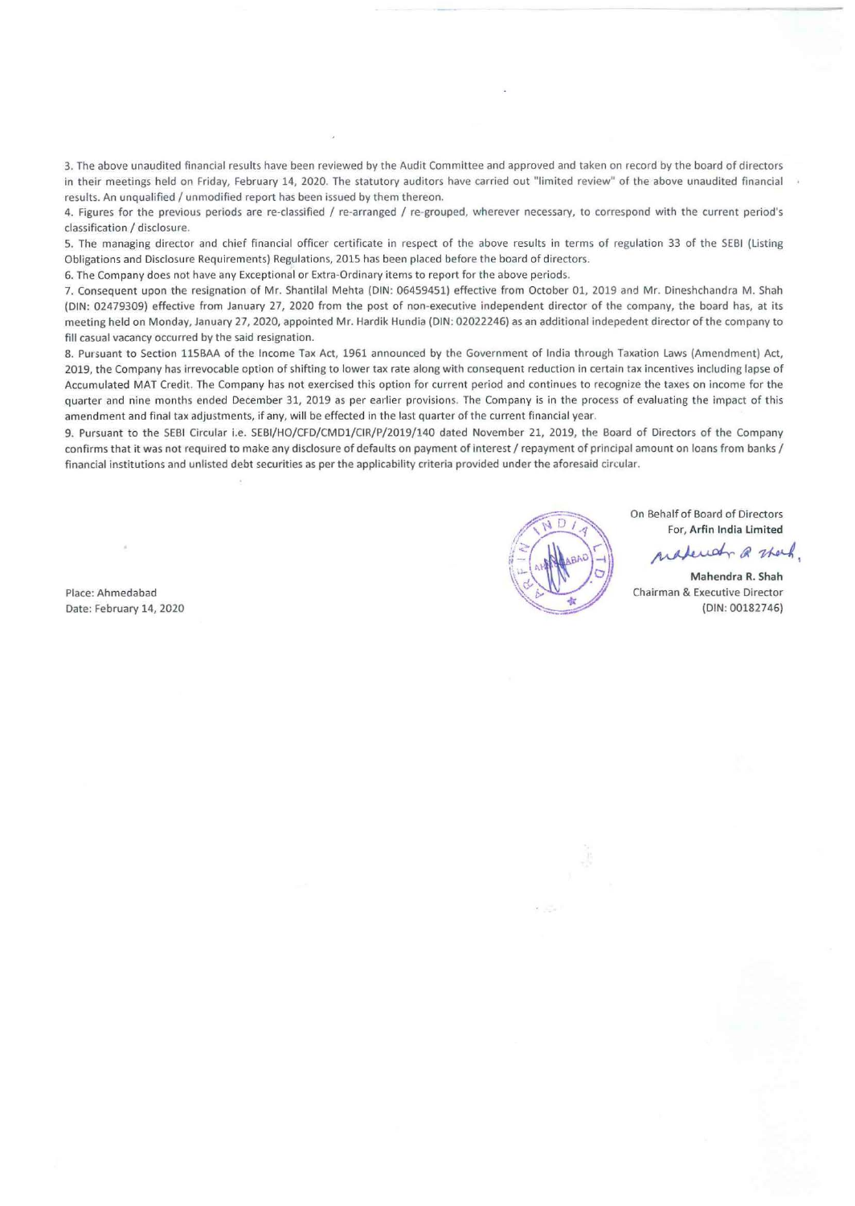3. The above unaudited financial results have been reviewed by the Audit Committee and approved and taken on record by the board of directors in their meetings held on Friday, February 14, 2020. The statutory auditors have carried out "limited review" of the above unaudited financial results. An unqualified / unmodified report has been issued by them thereon.

4. Figures for the previous periods are re-classified / re-arranged / re-grouped, wherever necessary, to correspond with the current period's classification / disclosure.

5. The managing director and chief financial officer certificate in respect of the above results in terms of regulation 33 of the SEBI (Listing Obligations and Disclosure Requirements) Regulations, 2015 has been placed before the board of directors.

6. The Company does not have any Exceptional or Extra-Ordinary items to report for the above periods.

7. Consequent upon the resignation of Mr. Shantilal Mehta (DIN: 06459451) effective from October 01, 2019 and Mr. Dineshchandra M. Shah (DIN: 02479309) effective from January 27, 2020 from the post of non-executive independent director of the company, the board has, at its meeting held on Monday, January 27, 2020, appointed Mr. Hardik Hundia (DIN: 02022246) as an additional indepedent director of the company to fill casual vacancy occurred by the said resignation.

8. Pursuant to Section 115BAA of the Income Tax Act, 1961 announced by the Government of India through Taxation Laws (Amendment) Act, 2019, the Company has irrevocable option of shifting to lower tax rate along with consequent reduction in certain tax incentives including lapse of Accumulated MAT Credit. The Company has not exercised this option for current period and continues to recognize the taxes on income for the quarter and nine months ended December 31, 2019 as per earlier provisions. The Company is in the process of evaluating the impact of this amendment and final tax adjustments, if any, will be effected in the last quarter of the current financial year.

9. Pursuant to the SEBI Circular i.e. SEBl/HO/CFD/CMDl/CIR/P/2019/140 dated November 21, 2019, the Board of Directors of the Company confirms that it was not required to make any disclosure of defaults on payment of interest / repayment of principal amount on loans from banks / financial institutions and unlisted debt securities as per the applicability criteria provided under the aforesaid circular.

Place: Ahmedabad Date: February 14, 2020



On Behalf of Board of Directors For, Arfin India Limited

madeundr @ thank.

\\~ · p Chairman & Executive Director (DIN: 00182746)